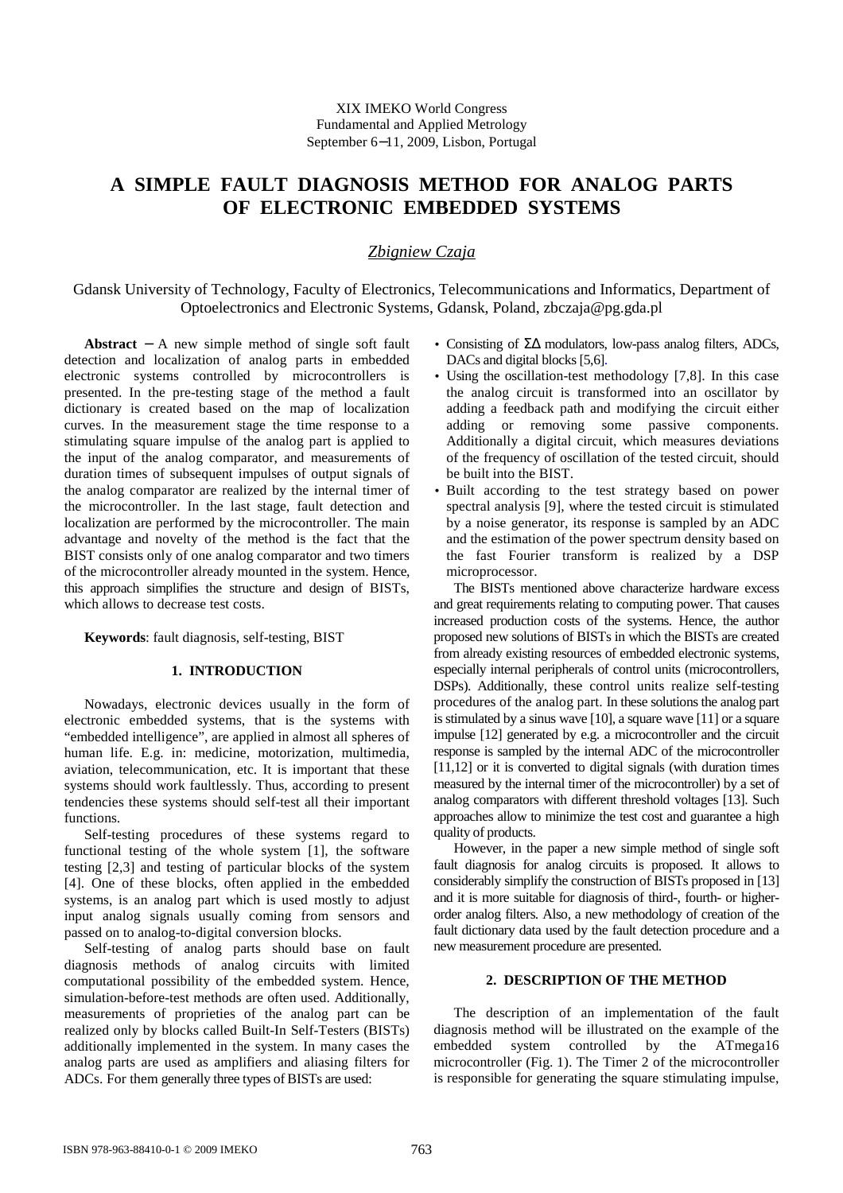# **A SIMPLE FAULT DIAGNOSIS METHOD FOR ANALOG PARTS OF ELECTRONIC EMBEDDED SYSTEMS**

## *Zbigniew Czaja*

Gdansk University of Technology, Faculty of Electronics, Telecommunications and Informatics, Department of Optoelectronics and Electronic Systems, Gdansk, Poland, zbczaja@pg.gda.pl

**Abstract** − A new simple method of single soft fault detection and localization of analog parts in embedded electronic systems controlled by microcontrollers is presented. In the pre-testing stage of the method a fault dictionary is created based on the map of localization curves. In the measurement stage the time response to a stimulating square impulse of the analog part is applied to the input of the analog comparator, and measurements of duration times of subsequent impulses of output signals of the analog comparator are realized by the internal timer of the microcontroller. In the last stage, fault detection and localization are performed by the microcontroller. The main advantage and novelty of the method is the fact that the BIST consists only of one analog comparator and two timers of the microcontroller already mounted in the system. Hence, this approach simplifies the structure and design of BISTs, which allows to decrease test costs.

**Keywords**: fault diagnosis, self-testing, BIST

### **1. INTRODUCTION**

Nowadays, electronic devices usually in the form of electronic embedded systems, that is the systems with "embedded intelligence", are applied in almost all spheres of human life. E.g. in: medicine, motorization, multimedia, aviation, telecommunication, etc. It is important that these systems should work faultlessly. Thus, according to present tendencies these systems should self-test all their important functions.

Self-testing procedures of these systems regard to functional testing of the whole system [1], the software testing [2,3] and testing of particular blocks of the system [4]. One of these blocks, often applied in the embedded systems, is an analog part which is used mostly to adjust input analog signals usually coming from sensors and passed on to analog-to-digital conversion blocks.

Self-testing of analog parts should base on fault diagnosis methods of analog circuits with limited computational possibility of the embedded system. Hence, simulation-before-test methods are often used. Additionally, measurements of proprieties of the analog part can be realized only by blocks called Built-In Self-Testers (BISTs) additionally implemented in the system. In many cases the analog parts are used as amplifiers and aliasing filters for ADCs. For them generally three types of BISTs are used:

- Consisting of ΣΔ modulators, low-pass analog filters, ADCs, DACs and digital blocks [5,6].
- Using the oscillation-test methodology [7,8]. In this case the analog circuit is transformed into an oscillator by adding a feedback path and modifying the circuit either adding or removing some passive components. Additionally a digital circuit, which measures deviations of the frequency of oscillation of the tested circuit, should be built into the BIST.
- Built according to the test strategy based on power spectral analysis [9], where the tested circuit is stimulated by a noise generator, its response is sampled by an ADC and the estimation of the power spectrum density based on the fast Fourier transform is realized by a DSP microprocessor.

The BISTs mentioned above characterize hardware excess and great requirements relating to computing power. That causes increased production costs of the systems. Hence, the author proposed new solutions of BISTs in which the BISTs are created from already existing resources of embedded electronic systems, especially internal peripherals of control units (microcontrollers, DSPs). Additionally, these control units realize self-testing procedures of the analog part. In these solutions the analog part is stimulated by a sinus wave [10], a square wave [11] or a square impulse [12] generated by e.g. a microcontroller and the circuit response is sampled by the internal ADC of the microcontroller [11,12] or it is converted to digital signals (with duration times measured by the internal timer of the microcontroller) by a set of analog comparators with different threshold voltages [13]. Such approaches allow to minimize the test cost and guarantee a high quality of products.

However, in the paper a new simple method of single soft fault diagnosis for analog circuits is proposed. It allows to considerably simplify the construction of BISTs proposed in [13] and it is more suitable for diagnosis of third-, fourth- or higherorder analog filters. Also, a new methodology of creation of the fault dictionary data used by the fault detection procedure and a new measurement procedure are presented.

## **2. DESCRIPTION OF THE METHOD**

The description of an implementation of the fault diagnosis method will be illustrated on the example of the embedded system controlled by the ATmega16 microcontroller (Fig. 1). The Timer 2 of the microcontroller is responsible for generating the square stimulating impulse,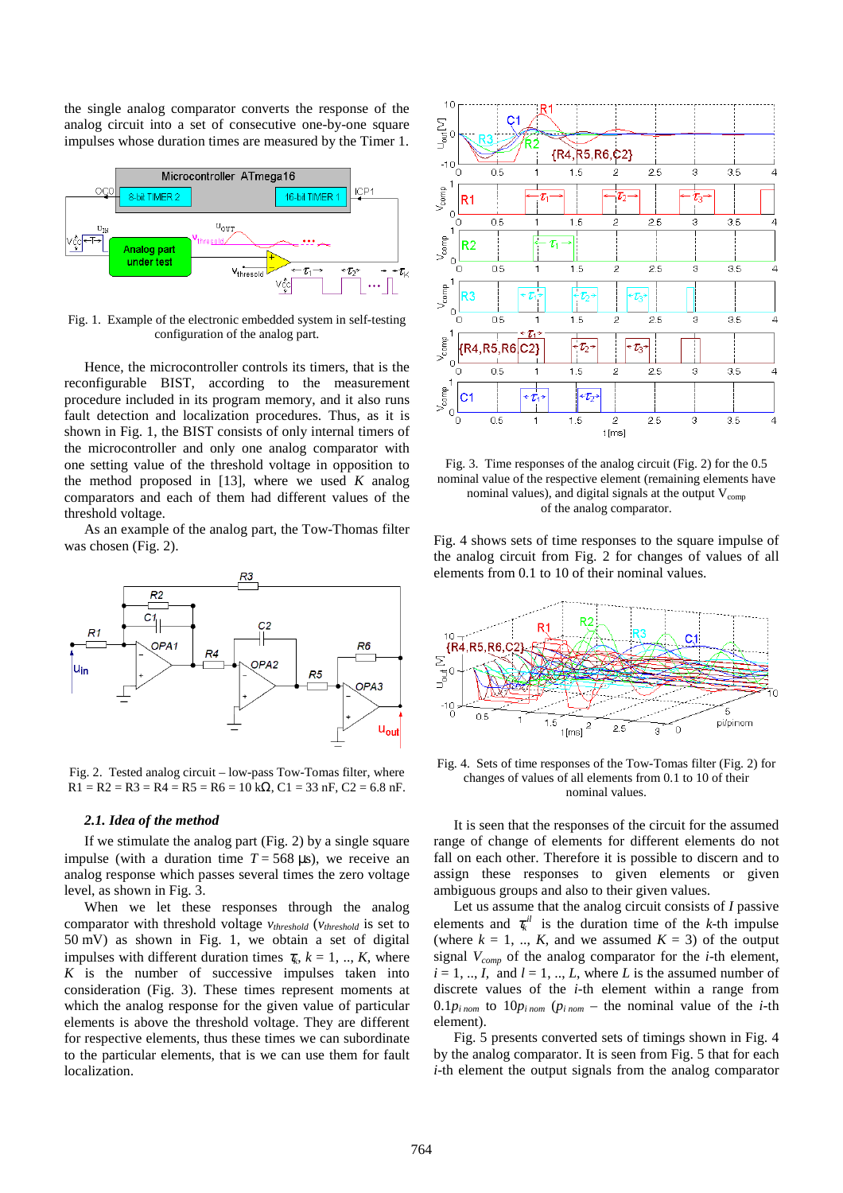the single analog comparator converts the response of the analog circuit into a set of consecutive one-by-one square impulses whose duration times are measured by the Timer 1.



Fig. 1. Example of the electronic embedded system in self-testing configuration of the analog part.

Hence, the microcontroller controls its timers, that is the reconfigurable BIST, according to the measurement procedure included in its program memory, and it also runs fault detection and localization procedures. Thus, as it is shown in Fig. 1, the BIST consists of only internal timers of the microcontroller and only one analog comparator with one setting value of the threshold voltage in opposition to the method proposed in [13], where we used *K* analog comparators and each of them had different values of the threshold voltage.

As an example of the analog part, the Tow-Thomas filter was chosen (Fig. 2).



Fig. 2. Tested analog circuit – low-pass Tow-Tomas filter, where  $R1 = R2 = R3 = R4 = R5 = R6 = 10 k\Omega$ ,  $C1 = 33 nF$ ,  $C2 = 6.8 nF$ .

#### *2.1. Idea of the method*

If we stimulate the analog part (Fig. 2) by a single square impulse (with a duration time  $T = 568 \text{ }\mu\text{s}$ ), we receive an analog response which passes several times the zero voltage level, as shown in Fig. 3.

When we let these responses through the analog comparator with threshold voltage *vthreshold* (*vthreshold* is set to 50 mV) as shown in Fig. 1, we obtain a set of digital impulses with different duration times  $\tau_k$ ,  $k = 1, ..., K$ , where *K* is the number of successive impulses taken into consideration (Fig. 3). These times represent moments at which the analog response for the given value of particular elements is above the threshold voltage. They are different for respective elements, thus these times we can subordinate to the particular elements, that is we can use them for fault localization.



Fig. 3. Time responses of the analog circuit (Fig. 2) for the 0.5 nominal value of the respective element (remaining elements have nominal values), and digital signals at the output  $V_{\text{comn}}$ of the analog comparator.

Fig. 4 shows sets of time responses to the square impulse of the analog circuit from Fig. 2 for changes of values of all elements from 0.1 to 10 of their nominal values.



Fig. 4. Sets of time responses of the Tow-Tomas filter (Fig. 2) for changes of values of all elements from 0.1 to 10 of their nominal values.

It is seen that the responses of the circuit for the assumed range of change of elements for different elements do not fall on each other. Therefore it is possible to discern and to assign these responses to given elements or given ambiguous groups and also to their given values.

Let us assume that the analog circuit consists of *I* passive elements and  $\tau_k$ <sup>*il*</sup> is the duration time of the *k*-th impulse (where  $k = 1, \dots, K$ , and we assumed  $K = 3$ ) of the output signal *Vcomp* of the analog comparator for the *i*-th element,  $i = 1, ..., I$ , and  $l = 1, ..., L$ , where *L* is the assumed number of discrete values of the *i-*th element within a range from  $0.1 p_{i\, nom}$  to  $10 p_{i\, nom}$  ( $p_{i\, nom}$  – the nominal value of the *i*-th element).

Fig. 5 presents converted sets of timings shown in Fig. 4 by the analog comparator. It is seen from Fig. 5 that for each *i*-th element the output signals from the analog comparator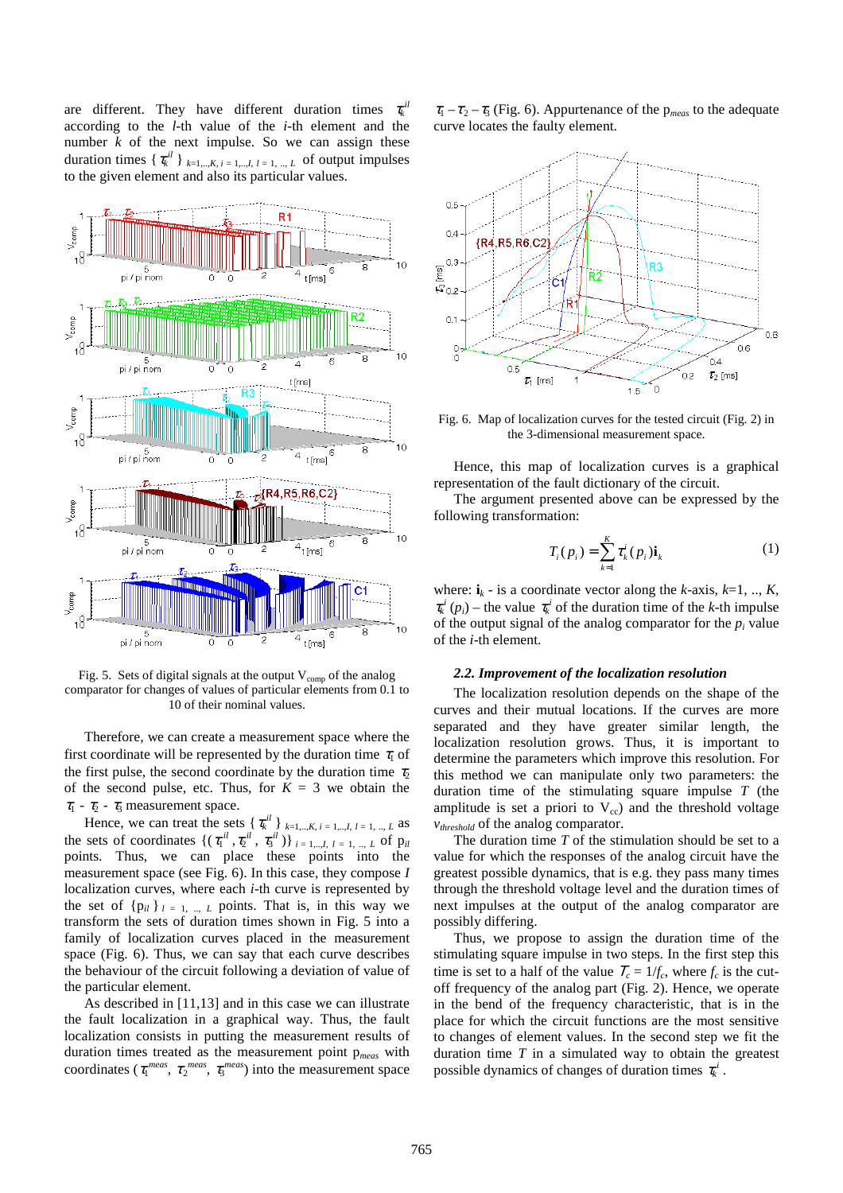are different. They have different duration times  $\tau_k^{\,il}$ according to the *l*-th value of the *i-*th element and the number *k* of the next impulse. So we can assign these duration times  $\{\tau_k^{il}\}_{k=1,\dots,K, i=1,\dots,I, l=1,\dots,L}$  of output impulses to the given element and also its particular values.



Fig. 5. Sets of digital signals at the output  $V_{\text{comp}}$  of the analog comparator for changes of values of particular elements from 0.1 to 10 of their nominal values.

Therefore, we can create a measurement space where the first coordinate will be represented by the duration time  $\tau_1$  of the first pulse, the second coordinate by the duration time  $\tau_2$ of the second pulse, etc. Thus, for  $K = 3$  we obtain the  $\tau_1$  -  $\tau_2$  -  $\tau_3$  measurement space.

Hence, we can treat the sets  $\{\tau_k^{il}\}\}_{{k=1,...,K, i=1,...,l, l=1,..., L}$  as the sets of coordinates  $\{(\tau_1^{il}, \tau_2^{il}, \tau_3^{il})\}_{i=1,\dots,L}$ ,  $\tau = 1, \dots, L$  of  $p_{il}$ points. Thus, we can place these points into the measurement space (see Fig. 6). In this case, they compose *I* localization curves, where each *i*-th curve is represented by the set of  $\{p_{il}\}\iota_{l=1,\dots,L}$  points. That is, in this way we transform the sets of duration times shown in Fig. 5 into a family of localization curves placed in the measurement space (Fig. 6). Thus, we can say that each curve describes the behaviour of the circuit following a deviation of value of the particular element.

As described in [11,13] and in this case we can illustrate the fault localization in a graphical way. Thus, the fault localization consists in putting the measurement results of duration times treated as the measurement point p*meas* with coordinates ( $\tau_1^{meas}, \tau_2^{meas}, \tau_3^{meas}$ ) into the measurement space

 $\tau_1 - \tau_2 - \tau_3$  (Fig. 6). Appurtenance of the p<sub>meas</sub> to the adequate curve locates the faulty element.



Fig. 6. Map of localization curves for the tested circuit (Fig. 2) in the 3-dimensional measurement space.

Hence, this map of localization curves is a graphical representation of the fault dictionary of the circuit.

The argument presented above can be expressed by the following transformation:

$$
T_i(p_i) = \sum_{k=1}^{K} \tau_k^i(p_i) \mathbf{i}_k
$$
 (1)

where:  $\mathbf{i}_k$  - is a coordinate vector along the *k*-axis, *k*=1, .., *K*,  $\tau_k^i(p_i)$  – the value  $\tau_k^i$  of the duration time of the *k*-th impulse of the output signal of the analog comparator for the  $p_i$  value of the *i*-th element.

#### *2.2. Improvement of the localization resolution*

The localization resolution depends on the shape of the curves and their mutual locations. If the curves are more separated and they have greater similar length, the localization resolution grows. Thus, it is important to determine the parameters which improve this resolution. For this method we can manipulate only two parameters: the duration time of the stimulating square impulse *T* (the amplitude is set a priori to  $V_{cc}$ ) and the threshold voltage *vthreshold* of the analog comparator.

The duration time *T* of the stimulation should be set to a value for which the responses of the analog circuit have the greatest possible dynamics, that is e.g. they pass many times through the threshold voltage level and the duration times of next impulses at the output of the analog comparator are possibly differing.

Thus, we propose to assign the duration time of the stimulating square impulse in two steps. In the first step this time is set to a half of the value  $T_c = 1/f_c$ , where  $f_c$  is the cutoff frequency of the analog part (Fig. 2). Hence, we operate in the bend of the frequency characteristic, that is in the place for which the circuit functions are the most sensitive to changes of element values. In the second step we fit the duration time *T* in a simulated way to obtain the greatest possible dynamics of changes of duration times  $\tau_k^i$ .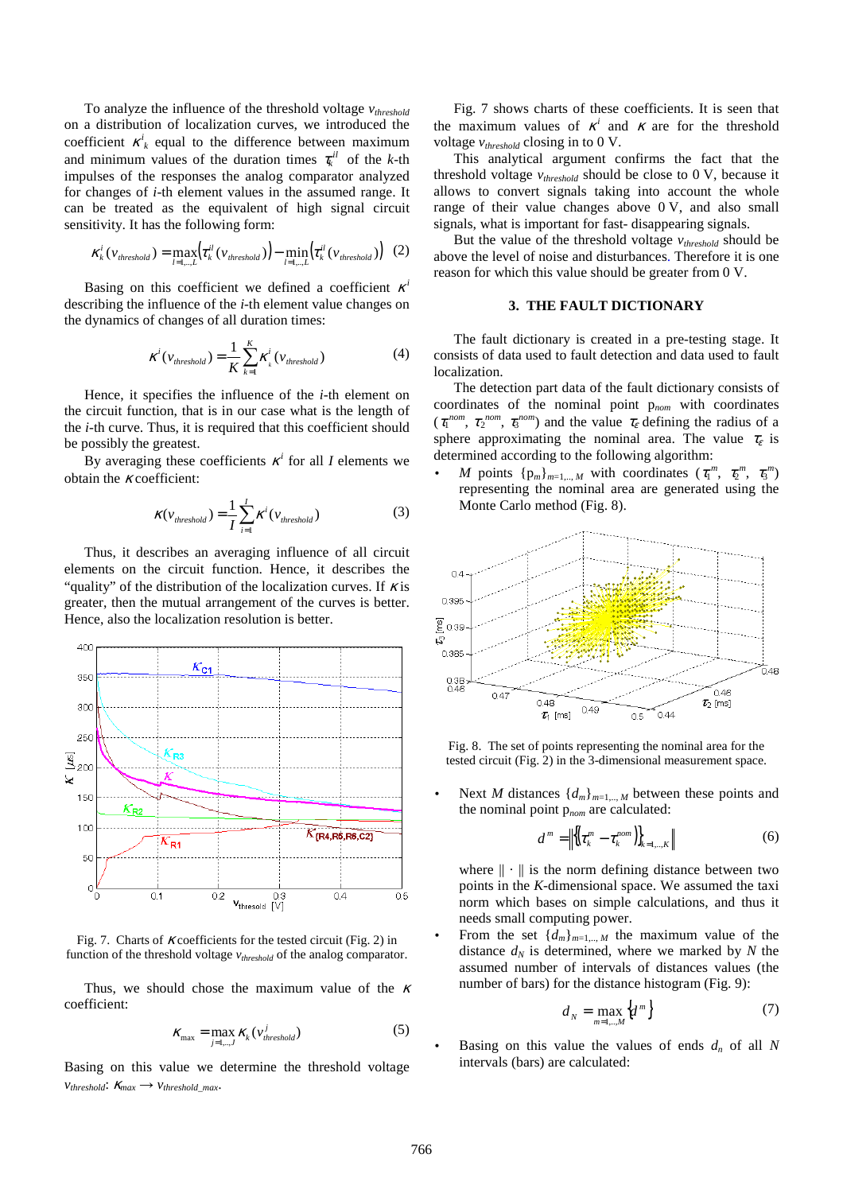To analyze the influence of the threshold voltage *vthreshold* on a distribution of localization curves, we introduced the coefficient  $\kappa^i_k$  equal to the difference between maximum and minimum values of the duration times  $\tau_k$ <sup>*il*</sup> of the *k*-th impulses of the responses the analog comparator analyzed for changes of *i*-th element values in the assumed range. It can be treated as the equivalent of high signal circuit sensitivity. It has the following form:

$$
\kappa_k^i(\nu_{threshold}) = \max_{l=1,\dots,L} \left(\tau_k^{il}(\nu_{threshold})) - \min_{l=1,\dots,L} \left(\tau_k^{il}(\nu_{threshold}))\right) (2)
$$

Basing on this coefficient we defined a coefficient  $\kappa^i$ describing the influence of the *i*-th element value changes on the dynamics of changes of all duration times:

$$
\kappa^{i}(v_{threshold}) = \frac{1}{K} \sum_{k=1}^{K} \kappa_{i}^{i}(v_{threshold})
$$
 (4)

Hence, it specifies the influence of the *i*-th element on the circuit function, that is in our case what is the length of the *i*-th curve. Thus, it is required that this coefficient should be possibly the greatest.

By averaging these coefficients  $\kappa^i$  for all *I* elements we obtain the  $\kappa$  coefficient:

$$
\kappa(v_{threshold}) = \frac{1}{I} \sum_{i=1}^{I} \kappa^{i}(v_{threshold})
$$
 (3)

Thus, it describes an averaging influence of all circuit elements on the circuit function. Hence, it describes the "quality" of the distribution of the localization curves. If  $\kappa$  is greater, then the mutual arrangement of the curves is better. Hence, also the localization resolution is better.



Fig. 7. Charts of  $\kappa$  coefficients for the tested circuit (Fig. 2) in function of the threshold voltage *vthreshold* of the analog comparator.

Thus, we should chose the maximum value of the  $\kappa$ coefficient:

$$
K_{\max} = \max_{j=1,\dots,J} K_k \left( v_{threshold}^j \right) \tag{5}
$$

Basing on this value we determine the threshold voltage  $v_{threshold}: K_{max} \rightarrow v_{threshold,max}.$ 

Fig. 7 shows charts of these coefficients. It is seen that the maximum values of  $\kappa^i$  and  $\kappa$  are for the threshold voltage *vthreshold* closing in to 0 V.

This analytical argument confirms the fact that the threshold voltage *vthreshold* should be close to 0 V, because it allows to convert signals taking into account the whole range of their value changes above 0 V, and also small signals, what is important for fast- disappearing signals.

But the value of the threshold voltage *vthreshold* should be above the level of noise and disturbances. Therefore it is one reason for which this value should be greater from 0 V.

## **3. THE FAULT DICTIONARY**

The fault dictionary is created in a pre-testing stage. It consists of data used to fault detection and data used to fault localization.

The detection part data of the fault dictionary consists of coordinates of the nominal point p*nom* with coordinates  $(\tau_1^{nom}, \tau_2^{nom}, \tau_3^{nom})$  and the value  $\tau_{\varepsilon}$  defining the radius of a sphere approximating the nominal area. The value  $\tau_{\varepsilon}$  is determined according to the following algorithm:

• *M* points  $\{p_m\}_{m=1,\dots,M}$  with coordinates  $(\tau_1^m, \tau_2^m, \tau_3^m)$ representing the nominal area are generated using the Monte Carlo method (Fig. 8).



Fig. 8. The set of points representing the nominal area for the tested circuit (Fig. 2) in the 3-dimensional measurement space.

Next *M* distances  $\{d_m\}_{m=1,\dots,M}$  between these points and the nominal point p*nom* are calculated:

$$
d^{m} = \left\| \left\{ \left( \tau_k^{m} - \tau_k^{nom} \right) \right\}_{k=1,..,K} \right\| \tag{6}
$$

where  $\|\cdot\|$  is the norm defining distance between two points in the *K*-dimensional space. We assumed the taxi norm which bases on simple calculations, and thus it needs small computing power.

From the set  $\{d_m\}_{m=1,\dots,M}$  the maximum value of the distance  $d_N$  is determined, where we marked by  $N$  the assumed number of intervals of distances values (the number of bars) for the distance histogram (Fig. 9):

$$
d_N = \max_{m=1,\dots,M} \{d^m\} \tag{7}
$$

Basing on this value the values of ends  $d_n$  of all N intervals (bars) are calculated: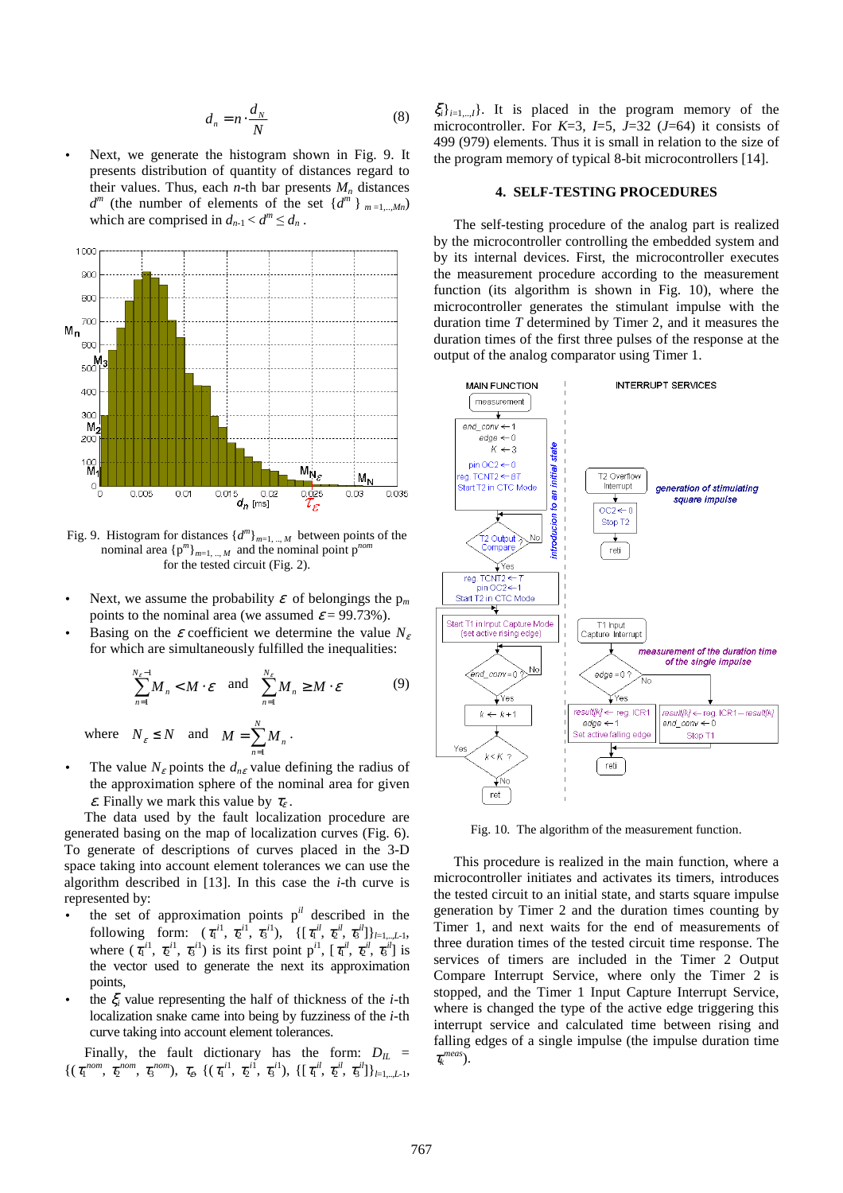$$
d_n = n \cdot \frac{d_N}{N} \tag{8}
$$

Next, we generate the histogram shown in Fig. 9. It presents distribution of quantity of distances regard to their values. Thus, each  $n$ -th bar presents  $M_n$  distances  $d^m$  (the number of elements of the set  $\{d^m\}_{m=1,\dots,Mn}$ ) which are comprised in  $d_{n-1} < d^m \leq d_n$ .



Fig. 9. Histogram for distances  $\{d^m\}_{m=1,\dots,M}$  between points of the nominal area  ${p^m}_{m=1,\dots,M}$  and the nominal point  $p^{nom}$ for the tested circuit (Fig. 2).

- Next, we assume the probability  $\varepsilon$  of belongings the  $p_m$ points to the nominal area (we assumed  $\varepsilon$  = 99.73%).
- Basing on the  $\varepsilon$  coefficient we determine the value  $N_e$ for which are simultaneously fulfilled the inequalities:

$$
\sum_{n=1}^{N_{\varepsilon}-1} M_n < M \cdot \varepsilon \quad \text{and} \quad \sum_{n=1}^{N_{\varepsilon}} M_n \ge M \cdot \varepsilon \tag{9}
$$
  

$$
N_{\varepsilon} \le N \quad \text{and} \quad M = \sum_{n=1}^{N} M
$$

where  $N_{\varepsilon} \leq N$  and  $M = \sum_{n=1}^{N}$  $=\sum_{n=1}^{N}$  $M = \sum_{n=1}^{n} M_n$ 

• The value  $N_{\varepsilon}$  points the  $d_{n\varepsilon}$  value defining the radius of the approximation sphere of the nominal area for given  $\varepsilon$ . Finally we mark this value by  $\tau_{\varepsilon}$ .

The data used by the fault localization procedure are generated basing on the map of localization curves (Fig. 6). To generate of descriptions of curves placed in the 3-D space taking into account element tolerances we can use the algorithm described in [13]. In this case the *i*-th curve is represented by:

- $\bullet$  the set of approximation points  $p^{il}$  described in the following form:  $(\tau_1^{i1}, \tau_2^{i1}, \tau_3^{i1}), \{[\tau_1^{i1}, \tau_2^{i1}, \tau_3^{i1}]\}_{l=1,\dots,L-1},$ where  $(\tau_1^{i1}, \tau_2^{i1}, \tau_3^{i1})$  is its first point  $p^{i1}$ ,  $[\tau_1^{i1}, \tau_2^{i1}, \tau_3^{i1}]$  is the vector used to generate the next its approximation points,
- the  $\xi$ <sup>*i*</sup> value representing the half of thickness of the *i*-th localization snake came into being by fuzziness of the *i*-th curve taking into account element tolerances.

Finally, the fault dictionary has the form:  $D_{IL}$  =  $\{(\tau_1^{nom}, \tau_2^{nom}, \tau_3^{nom}), \tau_{\epsilon}, \{(\tau_1^{i1}, \tau_2^{i1}, \tau_3^{i1}), \{[\tau_1^{i1}, \tau_2^{i1}, \tau_3^{i1}]\}_{l=1, \dots, L-1},\}$  ξ*i*}*i*=1,..,*I*}. It is placed in the program memory of the microcontroller. For *K*=3, *I*=5, *J*=32 (*J*=64) it consists of 499 (979) elements. Thus it is small in relation to the size of the program memory of typical 8-bit microcontrollers [14].

#### **4. SELF-TESTING PROCEDURES**

The self-testing procedure of the analog part is realized by the microcontroller controlling the embedded system and by its internal devices. First, the microcontroller executes the measurement procedure according to the measurement function (its algorithm is shown in Fig. 10), where the microcontroller generates the stimulant impulse with the duration time *T* determined by Timer 2, and it measures the duration times of the first three pulses of the response at the output of the analog comparator using Timer 1.



Fig. 10. The algorithm of the measurement function.

This procedure is realized in the main function, where a microcontroller initiates and activates its timers, introduces the tested circuit to an initial state, and starts square impulse generation by Timer 2 and the duration times counting by Timer 1, and next waits for the end of measurements of three duration times of the tested circuit time response. The services of timers are included in the Timer 2 Output Compare Interrupt Service, where only the Timer 2 is stopped, and the Timer 1 Input Capture Interrupt Service, where is changed the type of the active edge triggering this interrupt service and calculated time between rising and falling edges of a single impulse (the impulse duration time τ*k meas*).